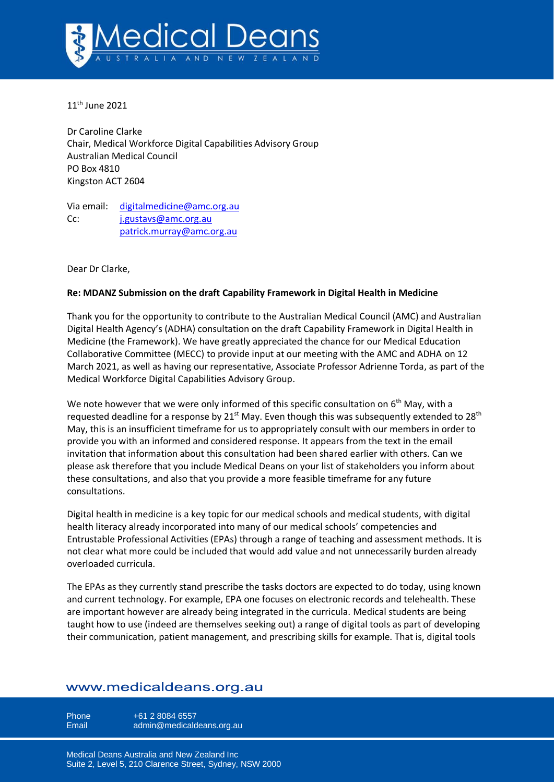

11<sup>th</sup> June 2021

Dr Caroline Clarke Chair, Medical Workforce Digital Capabilities Advisory Group Australian Medical Council PO Box 4810 Kingston ACT 2604

Via email: [digitalmedicine@amc.org.au](mailto:digitalmedicine@amc.org.au) Cc: [j.gustavs@amc.org.au](mailto:j.gustavs@amc.org.au) [patrick.murray@amc.org.au](mailto:patrick.murray@amc.org.au)

Dear Dr Clarke,

#### **Re: MDANZ Submission on the draft Capability Framework in Digital Health in Medicine**

Thank you for the opportunity to contribute to the Australian Medical Council (AMC) and Australian Digital Health Agency's (ADHA) consultation on the draft Capability Framework in Digital Health in Medicine (the Framework). We have greatly appreciated the chance for our Medical Education Collaborative Committee (MECC) to provide input at our meeting with the AMC and ADHA on 12 March 2021, as well as having our representative, Associate Professor Adrienne Torda, as part of the Medical Workforce Digital Capabilities Advisory Group.

We note however that we were only informed of this specific consultation on  $6<sup>th</sup>$  May, with a requested deadline for a response by 21<sup>st</sup> May. Even though this was subsequently extended to 28<sup>th</sup> May, this is an insufficient timeframe for us to appropriately consult with our members in order to provide you with an informed and considered response. It appears from the text in the email invitation that information about this consultation had been shared earlier with others. Can we please ask therefore that you include Medical Deans on your list of stakeholders you inform about these consultations, and also that you provide a more feasible timeframe for any future consultations.

Digital health in medicine is a key topic for our medical schools and medical students, with digital health literacy already incorporated into many of our medical schools' competencies and Entrustable Professional Activities (EPAs) through a range of teaching and assessment methods. It is not clear what more could be included that would add value and not unnecessarily burden already overloaded curricula.

The EPAs as they currently stand prescribe the tasks doctors are expected to do today, using known and current technology. For example, EPA one focuses on electronic records and telehealth. These are important however are already being integrated in the curricula. Medical students are being taught how to use (indeed are themselves seeking out) a range of digital tools as part of developing their communication, patient management, and prescribing skills for example. That is, digital tools

# www.medicaldeans.org.au

Phone  $+61 2 8084 6557$ 

Email admin@medicaldeans.org.au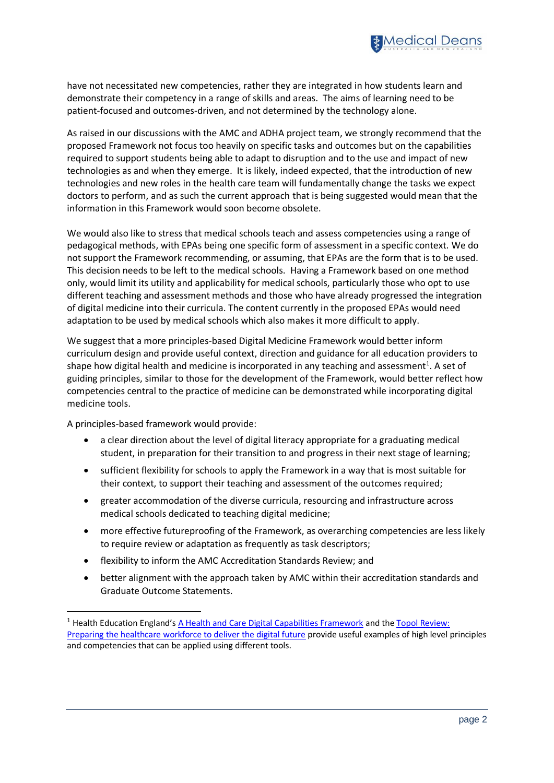

have not necessitated new competencies, rather they are integrated in how students learn and demonstrate their competency in a range of skills and areas. The aims of learning need to be patient-focused and outcomes-driven, and not determined by the technology alone.

As raised in our discussions with the AMC and ADHA project team, we strongly recommend that the proposed Framework not focus too heavily on specific tasks and outcomes but on the capabilities required to support students being able to adapt to disruption and to the use and impact of new technologies as and when they emerge. It is likely, indeed expected, that the introduction of new technologies and new roles in the health care team will fundamentally change the tasks we expect doctors to perform, and as such the current approach that is being suggested would mean that the information in this Framework would soon become obsolete.

We would also like to stress that medical schools teach and assess competencies using a range of pedagogical methods, with EPAs being one specific form of assessment in a specific context. We do not support the Framework recommending, or assuming, that EPAs are the form that is to be used. This decision needs to be left to the medical schools. Having a Framework based on one method only, would limit its utility and applicability for medical schools, particularly those who opt to use different teaching and assessment methods and those who have already progressed the integration of digital medicine into their curricula. The content currently in the proposed EPAs would need adaptation to be used by medical schools which also makes it more difficult to apply.

We suggest that a more principles-based Digital Medicine Framework would better inform curriculum design and provide useful context, direction and guidance for all education providers to shape how digital health and medicine is incorporated in any teaching and assessment<sup>1</sup>. A set of guiding principles, similar to those for the development of the Framework, would better reflect how competencies central to the practice of medicine can be demonstrated while incorporating digital medicine tools.

A principles-based framework would provide:

- a clear direction about the level of digital literacy appropriate for a graduating medical student, in preparation for their transition to and progress in their next stage of learning;
- sufficient flexibility for schools to apply the Framework in a way that is most suitable for their context, to support their teaching and assessment of the outcomes required;
- greater accommodation of the diverse curricula, resourcing and infrastructure across medical schools dedicated to teaching digital medicine;
- more effective futureproofing of the Framework, as overarching competencies are less likely to require review or adaptation as frequently as task descriptors;
- flexibility to inform the AMC Accreditation Standards Review; and
- better alignment with the approach taken by AMC within their accreditation standards and Graduate Outcome Statements.

<sup>&</sup>lt;sup>1</sup> Health Education England's [A Health and Care Digital Capabilities Framework](https://www.hee.nhs.uk/sites/default/files/documents/Digital%20Literacy%20Capability%20Framework%202018.pdf) and the Topol Review: [Preparing the healthcare workforce to deliver the digital future](https://medicaldeans.sharepoint.com/sites/PolicyadvocacyProjects/Shared%20Documents/Training%20Continuum/Research/HEE-Topol-Review-2019.pdf?CT=1621907631422&OR=ItemsView) provide useful examples of high level principles and competencies that can be applied using different tools.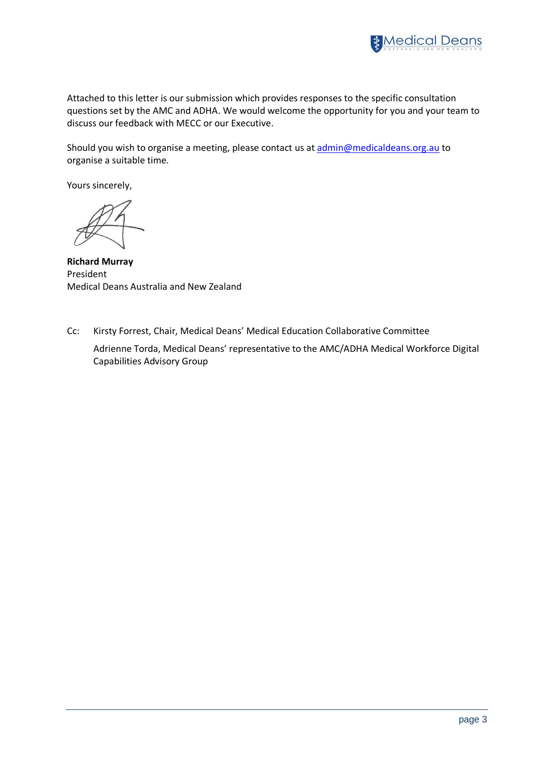

Attached to this letter is our submission which provides responses to the specific consultation questions set by the AMC and ADHA. We would welcome the opportunity for you and your team to discuss our feedback with MECC or our Executive.

Should you wish to organise a meeting, please contact us at [admin@medicaldeans.org.au](mailto:admin@medicaldeans.org.au) to organise a suitable time.

Yours sincerely,

**Richard Murray** President Medical Deans Australia and New Zealand

Cc: Kirsty Forrest, Chair, Medical Deans' Medical Education Collaborative Committee

Adrienne Torda, Medical Deans' representative to the AMC/ADHA Medical Workforce Digital Capabilities Advisory Group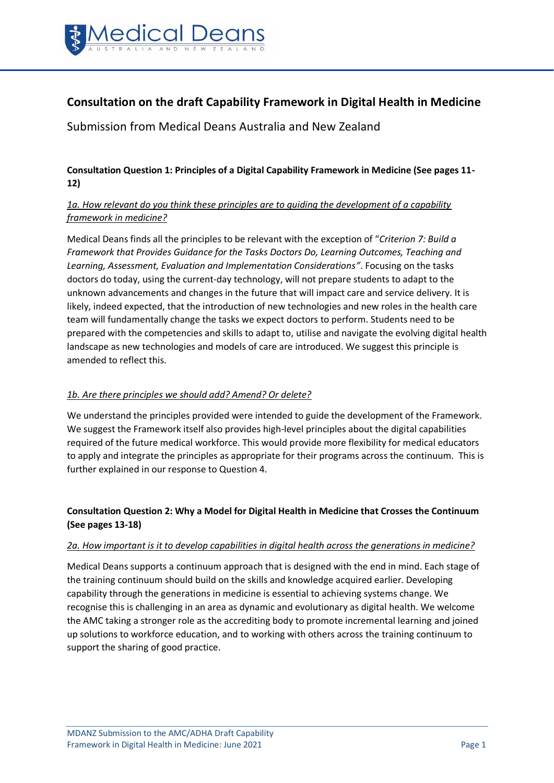

# **Consultation on the draft Capability Framework in Digital Health in Medicine**

Submission from Medical Deans Australia and New Zealand

### **Consultation Question 1: Principles of a Digital Capability Framework in Medicine (See pages 11- 12)**

# *1a. How relevant do you think these principles are to guiding the development of a capability framework in medicine?*

Medical Deans finds all the principles to be relevant with the exception of "*Criterion 7: Build a Framework that Provides Guidance for the Tasks Doctors Do, Learning Outcomes, Teaching and Learning, Assessment, Evaluation and Implementation Considerations"*. Focusing on the tasks doctors do today, using the current-day technology, will not prepare students to adapt to the unknown advancements and changes in the future that will impact care and service delivery. It is likely, indeed expected, that the introduction of new technologies and new roles in the health care team will fundamentally change the tasks we expect doctors to perform. Students need to be prepared with the competencies and skills to adapt to, utilise and navigate the evolving digital health landscape as new technologies and models of care are introduced. We suggest this principle is amended to reflect this.

### *1b. Are there principles we should add? Amend? Or delete?*

We understand the principles provided were intended to guide the development of the Framework. We suggest the Framework itself also provides high-level principles about the digital capabilities required of the future medical workforce. This would provide more flexibility for medical educators to apply and integrate the principles as appropriate for their programs across the continuum. This is further explained in our response to Question 4.

# **Consultation Question 2: Why a Model for Digital Health in Medicine that Crosses the Continuum (See pages 13-18)**

### *2a. How important is it to develop capabilities in digital health across the generations in medicine?*

Medical Deans supports a continuum approach that is designed with the end in mind. Each stage of the training continuum should build on the skills and knowledge acquired earlier. Developing capability through the generations in medicine is essential to achieving systems change. We recognise this is challenging in an area as dynamic and evolutionary as digital health. We welcome the AMC taking a stronger role as the accrediting body to promote incremental learning and joined up solutions to workforce education, and to working with others across the training continuum to support the sharing of good practice.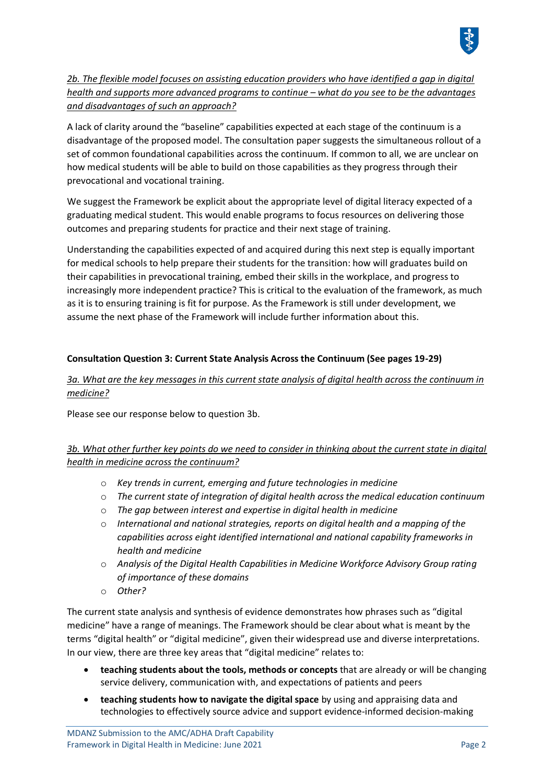

*2b. The flexible model focuses on assisting education providers who have identified a gap in digital health and supports more advanced programs to continue – what do you see to be the advantages and disadvantages of such an approach?* 

A lack of clarity around the "baseline" capabilities expected at each stage of the continuum is a disadvantage of the proposed model. The consultation paper suggests the simultaneous rollout of a set of common foundational capabilities across the continuum. If common to all, we are unclear on how medical students will be able to build on those capabilities as they progress through their prevocational and vocational training.

We suggest the Framework be explicit about the appropriate level of digital literacy expected of a graduating medical student. This would enable programs to focus resources on delivering those outcomes and preparing students for practice and their next stage of training.

Understanding the capabilities expected of and acquired during this next step is equally important for medical schools to help prepare their students for the transition: how will graduates build on their capabilities in prevocational training, embed their skills in the workplace, and progress to increasingly more independent practice? This is critical to the evaluation of the framework, as much as it is to ensuring training is fit for purpose. As the Framework is still under development, we assume the next phase of the Framework will include further information about this.

### **Consultation Question 3: Current State Analysis Across the Continuum (See pages 19-29)**

### *3a. What are the key messages in this current state analysis of digital health across the continuum in medicine?*

Please see our response below to question 3b.

# *3b. What other further key points do we need to consider in thinking about the current state in digital health in medicine across the continuum?*

- o *Key trends in current, emerging and future technologies in medicine*
- o *The current state of integration of digital health across the medical education continuum*
- o *The gap between interest and expertise in digital health in medicine*
- o *International and national strategies, reports on digital health and a mapping of the capabilities across eight identified international and national capability frameworks in health and medicine*
- o *Analysis of the Digital Health Capabilities in Medicine Workforce Advisory Group rating of importance of these domains*
- o *Other?*

The current state analysis and synthesis of evidence demonstrates how phrases such as "digital medicine" have a range of meanings. The Framework should be clear about what is meant by the terms "digital health" or "digital medicine", given their widespread use and diverse interpretations. In our view, there are three key areas that "digital medicine" relates to:

- **teaching students about the tools, methods or concepts** that are already or will be changing service delivery, communication with, and expectations of patients and peers
- **teaching students how to navigate the digital space** by using and appraising data and technologies to effectively source advice and support evidence-informed decision-making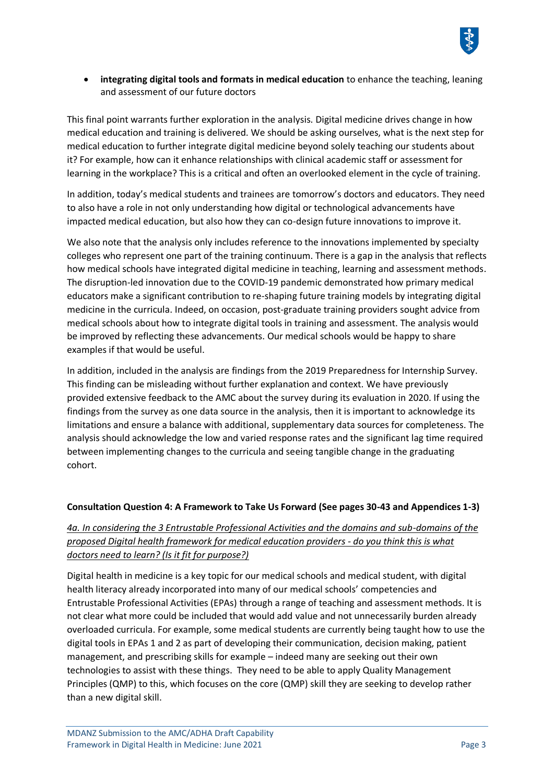

• **integrating digital tools and formats in medical education** to enhance the teaching, leaning and assessment of our future doctors

This final point warrants further exploration in the analysis. Digital medicine drives change in how medical education and training is delivered. We should be asking ourselves, what is the next step for medical education to further integrate digital medicine beyond solely teaching our students about it? For example, how can it enhance relationships with clinical academic staff or assessment for learning in the workplace? This is a critical and often an overlooked element in the cycle of training.

In addition, today's medical students and trainees are tomorrow's doctors and educators. They need to also have a role in not only understanding how digital or technological advancements have impacted medical education, but also how they can co-design future innovations to improve it.

We also note that the analysis only includes reference to the innovations implemented by specialty colleges who represent one part of the training continuum. There is a gap in the analysis that reflects how medical schools have integrated digital medicine in teaching, learning and assessment methods. The disruption-led innovation due to the COVID-19 pandemic demonstrated how primary medical educators make a significant contribution to re-shaping future training models by integrating digital medicine in the curricula. Indeed, on occasion, post-graduate training providers sought advice from medical schools about how to integrate digital tools in training and assessment. The analysis would be improved by reflecting these advancements. Our medical schools would be happy to share examples if that would be useful.

In addition, included in the analysis are findings from the 2019 Preparedness for Internship Survey. This finding can be misleading without further explanation and context. We have previously provided extensive feedback to the AMC about the survey during its evaluation in 2020. If using the findings from the survey as one data source in the analysis, then it is important to acknowledge its limitations and ensure a balance with additional, supplementary data sources for completeness. The analysis should acknowledge the low and varied response rates and the significant lag time required between implementing changes to the curricula and seeing tangible change in the graduating cohort.

#### **Consultation Question 4: A Framework to Take Us Forward (See pages 30-43 and Appendices 1-3)**

### *4a. In considering the 3 Entrustable Professional Activities and the domains and sub-domains of the proposed Digital health framework for medical education providers - do you think this is what doctors need to learn? (Is it fit for purpose?)*

Digital health in medicine is a key topic for our medical schools and medical student, with digital health literacy already incorporated into many of our medical schools' competencies and Entrustable Professional Activities (EPAs) through a range of teaching and assessment methods. It is not clear what more could be included that would add value and not unnecessarily burden already overloaded curricula. For example, some medical students are currently being taught how to use the digital tools in EPAs 1 and 2 as part of developing their communication, decision making, patient management, and prescribing skills for example – indeed many are seeking out their own technologies to assist with these things. They need to be able to apply Quality Management Principles (QMP) to this, which focuses on the core (QMP) skill they are seeking to develop rather than a new digital skill.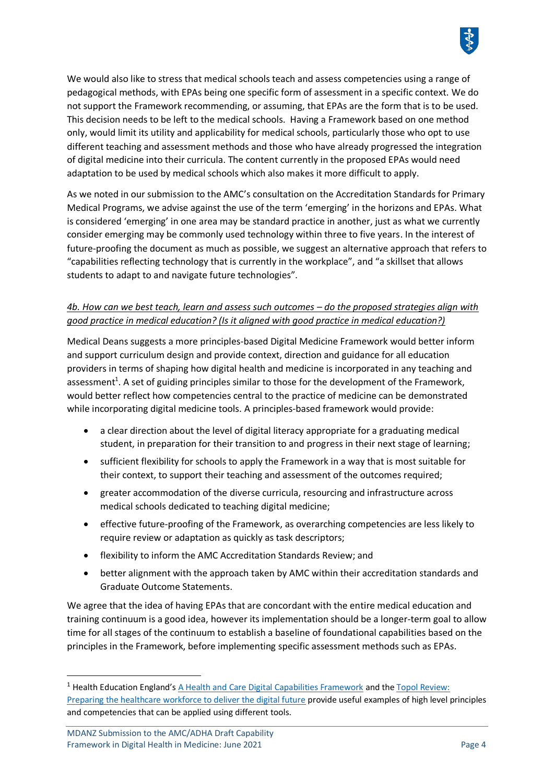

As we noted in our submission to the AMC's consultation on the Accreditation Standards for Primary Medical Programs, we advise against the use of the term 'emerging' in the horizons and EPAs. What is considered 'emerging' in one area may be standard practice in another, just as what we currently consider emerging may be commonly used technology within three to five years. In the interest of future-proofing the document as much as possible, we suggest an alternative approach that refers to "capabilities reflecting technology that is currently in the workplace", and "a skillset that allows students to adapt to and navigate future technologies".

# *4b. How can we best teach, learn and assess such outcomes – do the proposed strategies align with good practice in medical education? (Is it aligned with good practice in medical education?)*

Medical Deans suggests a more principles-based Digital Medicine Framework would better inform and support curriculum design and provide context, direction and guidance for all education providers in terms of shaping how digital health and medicine is incorporated in any teaching and assessment<sup>1</sup>. A set of guiding principles similar to those for the development of the Framework, would better reflect how competencies central to the practice of medicine can be demonstrated while incorporating digital medicine tools. A principles-based framework would provide:

- a clear direction about the level of digital literacy appropriate for a graduating medical student, in preparation for their transition to and progress in their next stage of learning;
- sufficient flexibility for schools to apply the Framework in a way that is most suitable for their context, to support their teaching and assessment of the outcomes required;
- greater accommodation of the diverse curricula, resourcing and infrastructure across medical schools dedicated to teaching digital medicine;
- effective future-proofing of the Framework, as overarching competencies are less likely to require review or adaptation as quickly as task descriptors;
- flexibility to inform the AMC Accreditation Standards Review; and
- better alignment with the approach taken by AMC within their accreditation standards and Graduate Outcome Statements.

We agree that the idea of having EPAs that are concordant with the entire medical education and training continuum is a good idea, however its implementation should be a longer-term goal to allow time for all stages of the continuum to establish a baseline of foundational capabilities based on the principles in the Framework, before implementing specific assessment methods such as EPAs.

 $<sup>1</sup>$  Health Education England's [A Health and Care Digital Capabilities Framework](https://www.hee.nhs.uk/sites/default/files/documents/Digital%20Literacy%20Capability%20Framework%202018.pdf) and the Topol Review:</sup> [Preparing the healthcare workforce to deliver the digital future](https://medicaldeans.sharepoint.com/sites/PolicyadvocacyProjects/Shared%20Documents/Training%20Continuum/Research/HEE-Topol-Review-2019.pdf?CT=1621907631422&OR=ItemsView) provide useful examples of high level principles and competencies that can be applied using different tools.